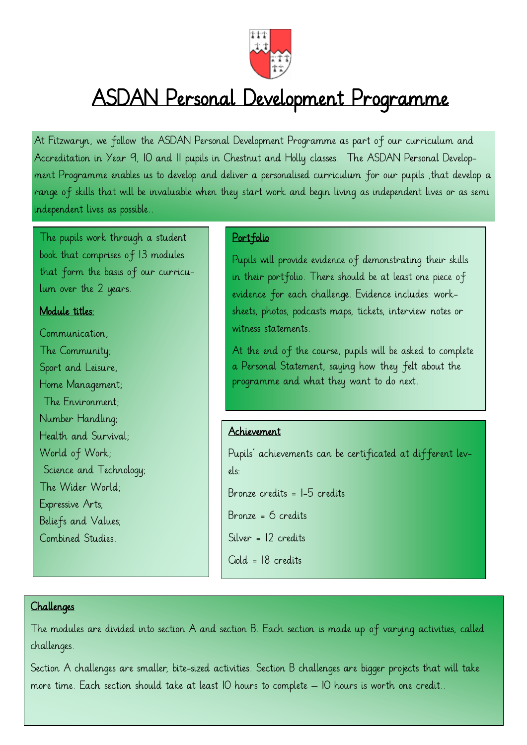

## ASDAN Personal Development Programme

At Fitzwaryn, we follow the ASDAN Personal Development Programme as part of our curriculum and Accreditation in Year 9, 10 and 11 pupils in Chestnut and Holly classes. The ASDAN Personal Development Programme enables us to develop and deliver a personalised curriculum for our pupils ,that develop a range of skills that will be invaluable when they start work and begin living as independent lives or as semi independent lives as possible..

The pupils work through a student book that comprises of 13 modules that form the basis of our curriculum over the 2 years.

#### Module titles:

Communication; The Community; Sport and Leisure, Home Management; The Environment; Number Handling; Health and Survival; World of Work; Science and Technology; The Wider World; Expressive Arts; Beliefs and Values; Combined Studies.

#### Portfolio

Pupils will provide evidence of demonstrating their skills in their portfolio. There should be at least one piece of evidence for each challenge. Evidence includes: worksheets, photos, podcasts maps, tickets, interview notes or witness statements.

At the end of the course, pupils will be asked to complete a Personal Statement, saying how they felt about the programme and what they want to do next.

#### Achievement

Pupils' achievements can be certificated at different levels:

Bronze credits = 1-5 credits

Bronze = 6 credits

Silver = 12 credits

Gold = 18 credits

#### Challenges

The modules are divided into section A and section B. Each section is made up of varying activities, called challenges.

Section A challenges are smaller, bite-sized activities. Section B challenges are bigger projects that will take more time. Each section should take at least 10 hours to complete – 10 hours is worth one credit..

1